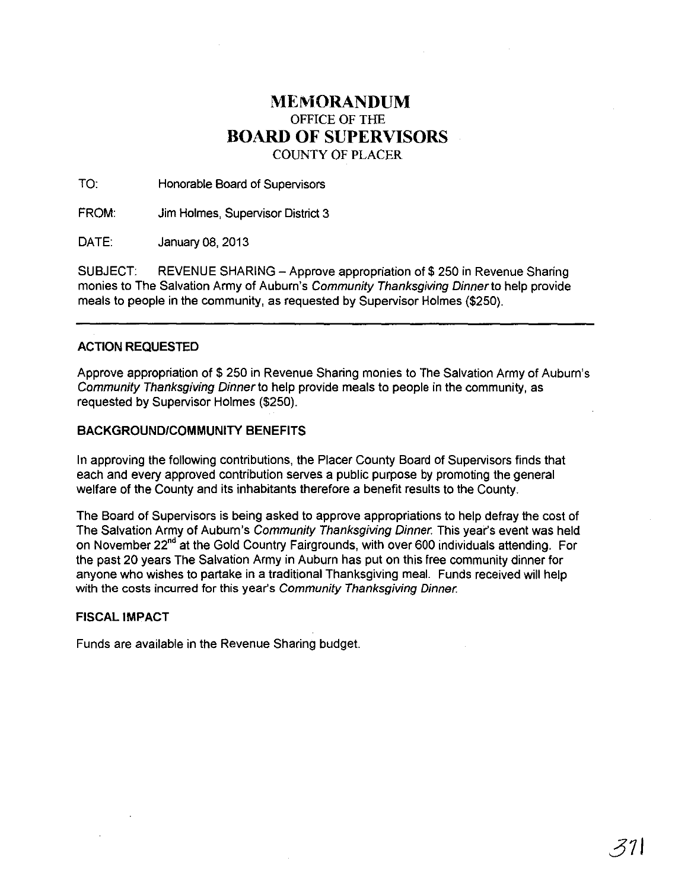## **MEMORANDUM**  OFFICE OF THE **BOARD OF SUPERVISORS**  COUNTY OF PLACER

TO: Honorable Board of Supervisors

FROM: Jim Holmes, Supervisor District 3

DATE: January 08, 2013

SUBJECT: REVENUE SHARING - Approve appropriation of \$ 250 in Revenue Sharing monies to The Salvation Army of Auburn's Community Thanksgiving Dinnerto help provide meals to people in the community, as requested by Supervisor Holmes (\$250).

## ACTION **REQUESTED**

Approve appropriation of \$ 250 in Revenue Sharing monies to The Salvation Army of Auburn's Community Thanksgiving Dinner to help provide meals to people in the community, as requested by Supervisor Holmes (\$250).

## **BACKGROUND/COMMUNITY BENEFITS**

In approving the following contributions, the Placer County Board of Supervisors finds that each and every approved contribution serves a public purpose by promoting the general welfare of the County and its inhabitants therefore a benefit results to the County.

The Board of Supervisors is being asked to approve appropriations to help defray the cost of The Salvation Army of Auburn's Community Thanksgiving Dinner. This year's event was held on November 22<sup>nd</sup> at the Gold Country Fairgrounds, with over 600 individuals attending. For the past 20 years The Salvation Army in Auburn has put on this free community dinner for anyone who wishes to partake in a traditional Thanksgiving meal. Funds received will help with the costs incurred for this year's Community Thanksgiving Dinner.

## **FISCAL IMPACT**

Funds are available in the Revenue Sharing budget.